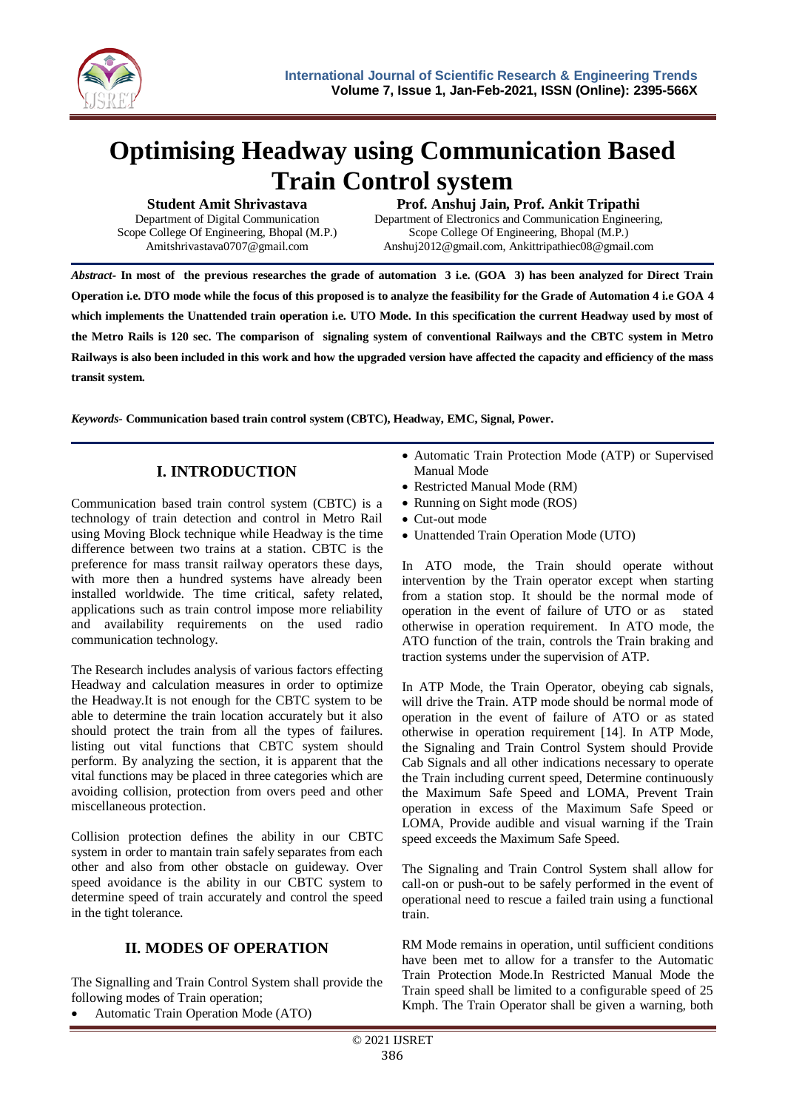

# **Optimising Headway using Communication Based Train Control system**

**Student Amit Shrivastava**

Department of Digital Communication Scope College Of Engineering, Bhopal (M.P.) Amitshrivastava0707@gmail.com

#### **Prof. Anshuj Jain, Prof. Ankit Tripathi**

Department of Electronics and Communication Engineering, Scope College Of Engineering, Bhopal (M.P.) Anshuj2012@gmail.com, Ankittripathiec08@gmail.com

*Abstract-* **In most of the previous researches the grade of automation 3 i.e. (GOA 3) has been analyzed for Direct Train Operation i.e. DTO mode while the focus of this proposed is to analyze the feasibility for the Grade of Automation 4 i.e GOA 4 which implements the Unattended train operation i.e. UTO Mode. In this specification the current Headway used by most of the Metro Rails is 120 sec. The comparison of signaling system of conventional Railways and the CBTC system in Metro Railways is also been included in this work and how the upgraded version have affected the capacity and efficiency of the mass transit system.**

*Keywords***- Communication based train control system (CBTC), Headway, EMC, Signal, Power.**

#### **I. INTRODUCTION**

Communication based train control system (CBTC) is a technology of train detection and control in Metro Rail using Moving Block technique while Headway is the time difference between two trains at a station. CBTC is the preference for mass transit railway operators these days, with more then a hundred systems have already been installed worldwide. The time critical, safety related, applications such as train control impose more reliability and availability requirements on the used radio communication technology.

The Research includes analysis of various factors effecting Headway and calculation measures in order to optimize the Headway.It is not enough for the CBTC system to be able to determine the train location accurately but it also should protect the train from all the types of failures. listing out vital functions that CBTC system should perform. By analyzing the section, it is apparent that the vital functions may be placed in three categories which are avoiding collision, protection from overs peed and other miscellaneous protection.

Collision protection defines the ability in our CBTC system in order to mantain train safely separates from each other and also from other obstacle on guideway. Over speed avoidance is the ability in our CBTC system to determine speed of train accurately and control the speed in the tight tolerance.

## **II. MODES OF OPERATION**

The Signalling and Train Control System shall provide the following modes of Train operation;

Automatic Train Operation Mode (ATO)

- Automatic Train Protection Mode (ATP) or Supervised Manual Mode
- Restricted Manual Mode (RM)
- Running on Sight mode (ROS)
- Cut-out mode
- Unattended Train Operation Mode (UTO)

In ATO mode, the Train should operate without intervention by the Train operator except when starting from a station stop. It should be the normal mode of operation in the event of failure of UTO or as stated otherwise in operation requirement. In ATO mode, the ATO function of the train, controls the Train braking and traction systems under the supervision of ATP.

In ATP Mode, the Train Operator, obeying cab signals, will drive the Train. ATP mode should be normal mode of operation in the event of failure of ATO or as stated otherwise in operation requirement [14]. In ATP Mode, the Signaling and Train Control System should Provide Cab Signals and all other indications necessary to operate the Train including current speed, Determine continuously the Maximum Safe Speed and LOMA, Prevent Train operation in excess of the Maximum Safe Speed or LOMA, Provide audible and visual warning if the Train speed exceeds the Maximum Safe Speed.

The Signaling and Train Control System shall allow for call-on or push-out to be safely performed in the event of operational need to rescue a failed train using a functional train.

RM Mode remains in operation, until sufficient conditions have been met to allow for a transfer to the Automatic Train Protection Mode.In Restricted Manual Mode the Train speed shall be limited to a configurable speed of 25 Kmph. The Train Operator shall be given a warning, both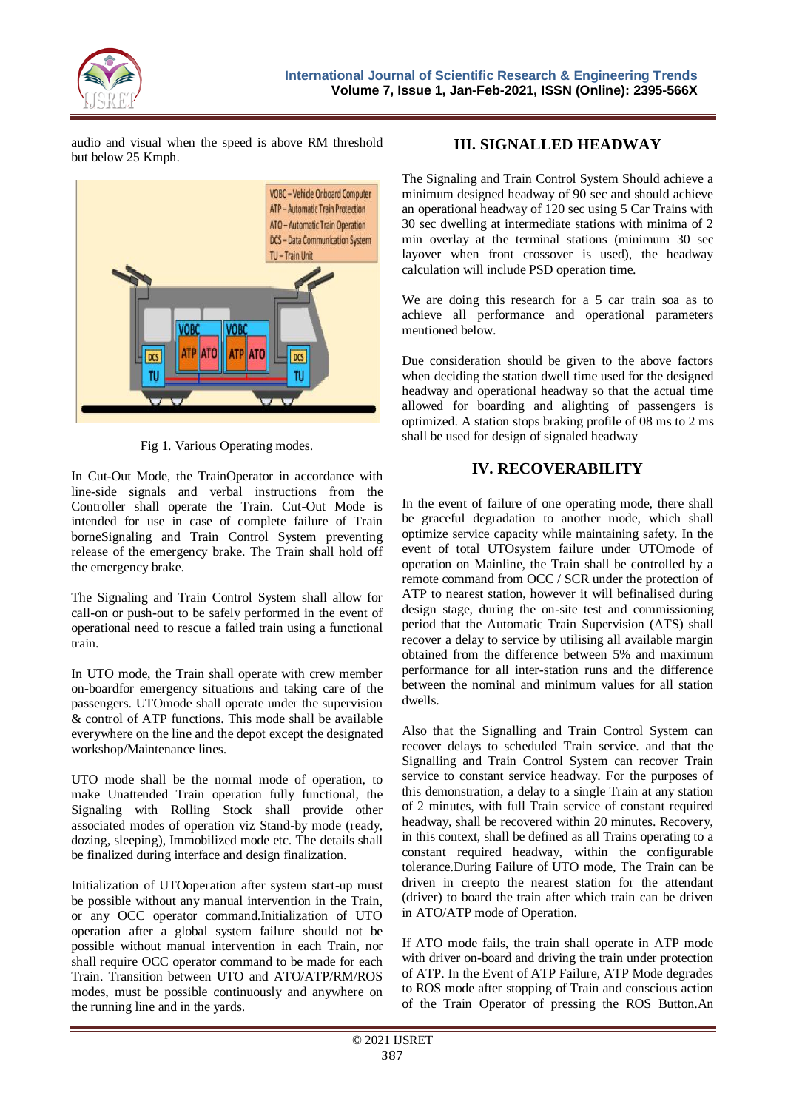

audio and visual when the speed is above RM threshold but below 25 Kmph.



Fig 1. Various Operating modes.

In Cut-Out Mode, the TrainOperator in accordance with line-side signals and verbal instructions from the Controller shall operate the Train. Cut-Out Mode is intended for use in case of complete failure of Train borneSignaling and Train Control System preventing release of the emergency brake. The Train shall hold off the emergency brake.

The Signaling and Train Control System shall allow for call-on or push-out to be safely performed in the event of operational need to rescue a failed train using a functional train.

In UTO mode, the Train shall operate with crew member on-boardfor emergency situations and taking care of the passengers. UTOmode shall operate under the supervision & control of ATP functions. This mode shall be available everywhere on the line and the depot except the designated workshop/Maintenance lines.

UTO mode shall be the normal mode of operation, to make Unattended Train operation fully functional, the Signaling with Rolling Stock shall provide other associated modes of operation viz Stand-by mode (ready, dozing, sleeping), Immobilized mode etc. The details shall be finalized during interface and design finalization.

Initialization of UTOoperation after system start-up must be possible without any manual intervention in the Train, or any OCC operator command.Initialization of UTO operation after a global system failure should not be possible without manual intervention in each Train, nor shall require OCC operator command to be made for each Train. Transition between UTO and ATO/ATP/RM/ROS modes, must be possible continuously and anywhere on the running line and in the yards.

#### **III. SIGNALLED HEADWAY**

The Signaling and Train Control System Should achieve a minimum designed headway of 90 sec and should achieve an operational headway of 120 sec using 5 Car Trains with 30 sec dwelling at intermediate stations with minima of 2 min overlay at the terminal stations (minimum 30 sec layover when front crossover is used), the headway calculation will include PSD operation time.

We are doing this research for a 5 car train soa as to achieve all performance and operational parameters mentioned below.

Due consideration should be given to the above factors when deciding the station dwell time used for the designed headway and operational headway so that the actual time allowed for boarding and alighting of passengers is optimized. A station stops braking profile of 08 ms to 2 ms shall be used for design of signaled headway

#### **IV. RECOVERABILITY**

In the event of failure of one operating mode, there shall be graceful degradation to another mode, which shall optimize service capacity while maintaining safety. In the event of total UTOsystem failure under UTOmode of operation on Mainline, the Train shall be controlled by a remote command from OCC / SCR under the protection of ATP to nearest station, however it will befinalised during design stage, during the on-site test and commissioning period that the Automatic Train Supervision (ATS) shall recover a delay to service by utilising all available margin obtained from the difference between 5% and maximum performance for all inter-station runs and the difference between the nominal and minimum values for all station dwells.

Also that the Signalling and Train Control System can recover delays to scheduled Train service. and that the Signalling and Train Control System can recover Train service to constant service headway. For the purposes of this demonstration, a delay to a single Train at any station of 2 minutes, with full Train service of constant required headway, shall be recovered within 20 minutes. Recovery, in this context, shall be defined as all Trains operating to a constant required headway, within the configurable tolerance.During Failure of UTO mode, The Train can be driven in creepto the nearest station for the attendant (driver) to board the train after which train can be driven in ATO/ATP mode of Operation.

If ATO mode fails, the train shall operate in ATP mode with driver on-board and driving the train under protection of ATP. In the Event of ATP Failure, ATP Mode degrades to ROS mode after stopping of Train and conscious action of the Train Operator of pressing the ROS Button.An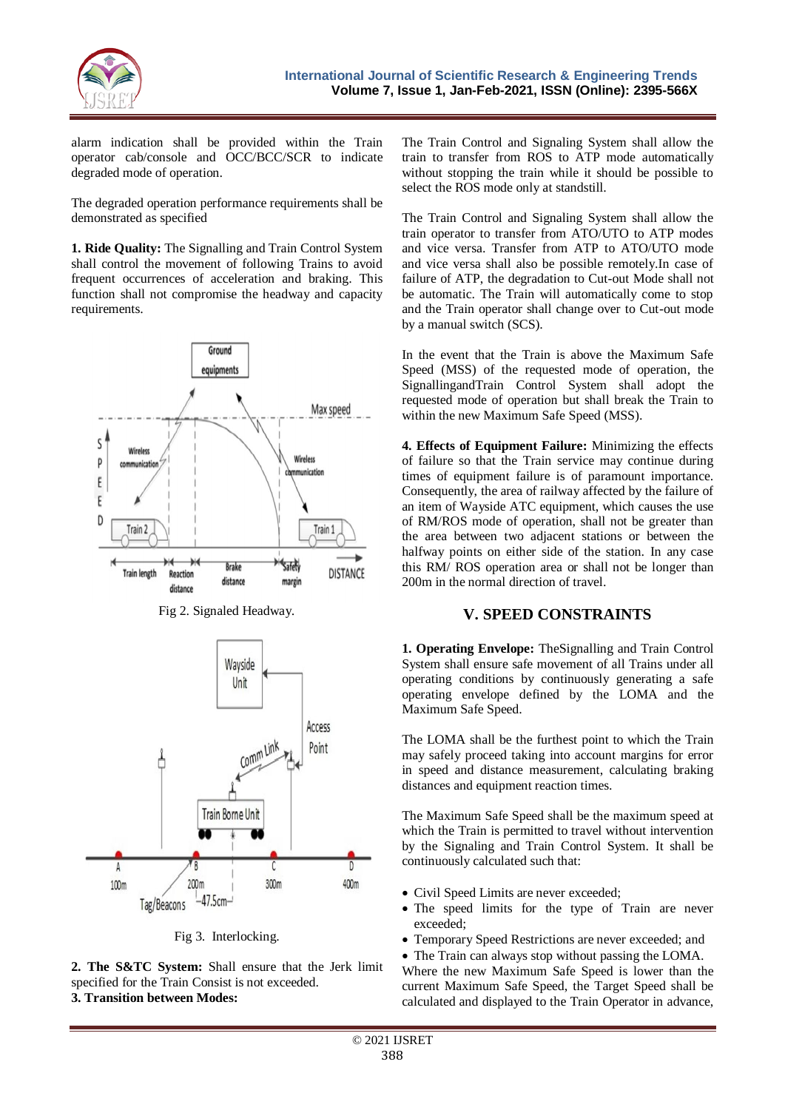

alarm indication shall be provided within the Train operator cab/console and OCC/BCC/SCR to indicate degraded mode of operation.

The degraded operation performance requirements shall be demonstrated as specified

**1. Ride Quality:** The Signalling and Train Control System shall control the movement of following Trains to avoid frequent occurrences of acceleration and braking. This function shall not compromise the headway and capacity requirements.



Fig 2. Signaled Headway.



Fig 3. Interlocking.

**2. The S&TC System:** Shall ensure that the Jerk limit specified for the Train Consist is not exceeded. **3. Transition between Modes:**

The Train Control and Signaling System shall allow the train to transfer from ROS to ATP mode automatically without stopping the train while it should be possible to select the ROS mode only at standstill.

The Train Control and Signaling System shall allow the train operator to transfer from ATO/UTO to ATP modes and vice versa. Transfer from ATP to ATO/UTO mode and vice versa shall also be possible remotely.In case of failure of ATP, the degradation to Cut-out Mode shall not be automatic. The Train will automatically come to stop and the Train operator shall change over to Cut-out mode by a manual switch (SCS).

In the event that the Train is above the Maximum Safe Speed (MSS) of the requested mode of operation, the SignallingandTrain Control System shall adopt the requested mode of operation but shall break the Train to within the new Maximum Safe Speed (MSS).

**4. Effects of Equipment Failure:** Minimizing the effects of failure so that the Train service may continue during times of equipment failure is of paramount importance. Consequently, the area of railway affected by the failure of an item of Wayside ATC equipment, which causes the use of RM/ROS mode of operation, shall not be greater than the area between two adjacent stations or between the halfway points on either side of the station. In any case this RM/ ROS operation area or shall not be longer than 200m in the normal direction of travel.

## **V. SPEED CONSTRAINTS**

**1. Operating Envelope:** TheSignalling and Train Control System shall ensure safe movement of all Trains under all operating conditions by continuously generating a safe operating envelope defined by the LOMA and the Maximum Safe Speed.

The LOMA shall be the furthest point to which the Train may safely proceed taking into account margins for error in speed and distance measurement, calculating braking distances and equipment reaction times.

The Maximum Safe Speed shall be the maximum speed at which the Train is permitted to travel without intervention by the Signaling and Train Control System. It shall be continuously calculated such that:

- Civil Speed Limits are never exceeded:
- The speed limits for the type of Train are never exceeded;
- Temporary Speed Restrictions are never exceeded; and
- The Train can always stop without passing the LOMA.

Where the new Maximum Safe Speed is lower than the current Maximum Safe Speed, the Target Speed shall be calculated and displayed to the Train Operator in advance,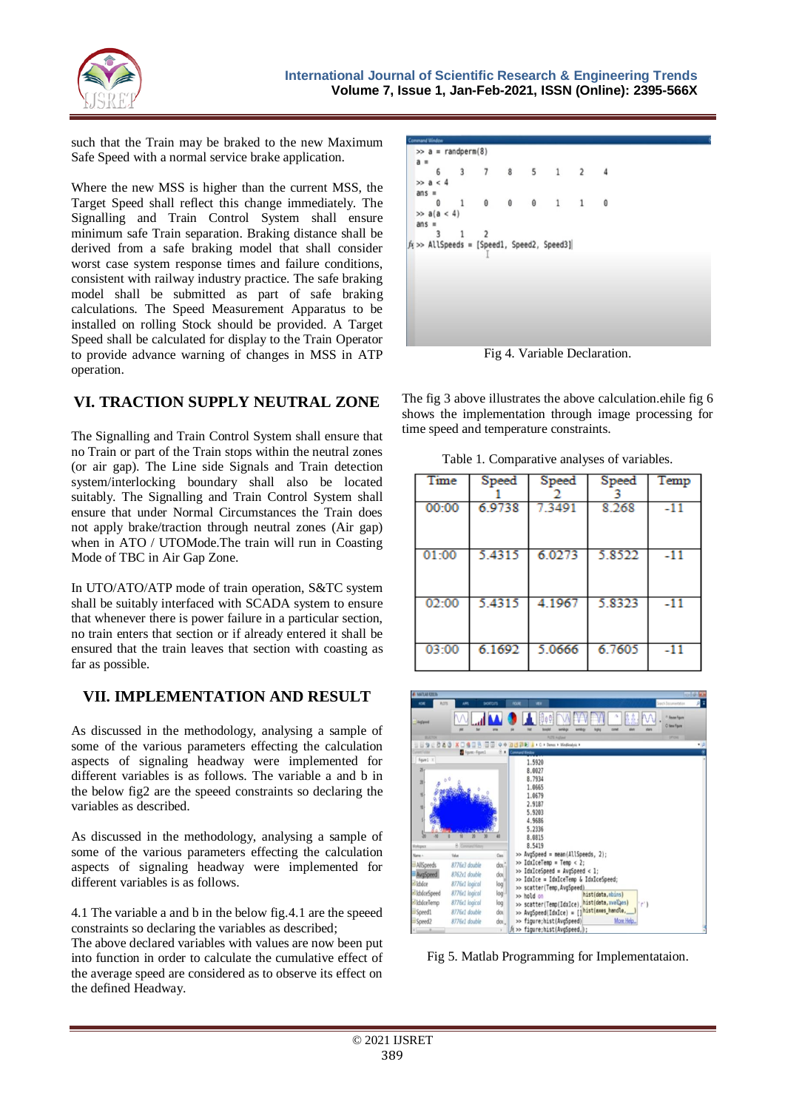

such that the Train may be braked to the new Maximum Safe Speed with a normal service brake application.

Where the new MSS is higher than the current MSS, the Target Speed shall reflect this change immediately. The Signalling and Train Control System shall ensure minimum safe Train separation. Braking distance shall be derived from a safe braking model that shall consider worst case system response times and failure conditions, consistent with railway industry practice. The safe braking model shall be submitted as part of safe braking calculations. The Speed Measurement Apparatus to be installed on rolling Stock should be provided. A Target Speed shall be calculated for display to the Train Operator to provide advance warning of changes in MSS in ATP operation.

## **VI. TRACTION SUPPLY NEUTRAL ZONE**

The Signalling and Train Control System shall ensure that no Train or part of the Train stops within the neutral zones (or air gap). The Line side Signals and Train detection system/interlocking boundary shall also be located suitably. The Signalling and Train Control System shall ensure that under Normal Circumstances the Train does not apply brake/traction through neutral zones (Air gap) when in ATO / UTOMode.The train will run in Coasting Mode of TBC in Air Gap Zone.

In UTO/ATO/ATP mode of train operation, S&TC system shall be suitably interfaced with SCADA system to ensure that whenever there is power failure in a particular section, no train enters that section or if already entered it shall be ensured that the train leaves that section with coasting as far as possible.

## **VII. IMPLEMENTATION AND RESULT**

As discussed in the methodology, analysing a sample of some of the various parameters effecting the calculation aspects of signaling headway were implemented for different variables is as follows. The variable a and b in the below fig2 are the speeed constraints so declaring the variables as described.

As discussed in the methodology, analysing a sample of some of the various parameters effecting the calculation aspects of signaling headway were implemented for different variables is as follows.

4.1 The variable a and b in the below fig.4.1 are the speeed constraints so declaring the variables as described;

The above declared variables with values are now been put into function in order to calculate the cumulative effect of the average speed are considered as to observe its effect on the defined Headway.

| <b>Command Window</b> |                       |             |   |                |                |                                                |  |         |  |  |                             |  |  |
|-----------------------|-----------------------|-------------|---|----------------|----------------|------------------------------------------------|--|---------|--|--|-----------------------------|--|--|
|                       | $\gg$ a = randperm(8) |             |   |                |                |                                                |  |         |  |  |                             |  |  |
|                       | $a =$                 |             |   |                |                |                                                |  |         |  |  |                             |  |  |
|                       |                       |             | 6 |                |                | 3 7 8 5 1 2                                    |  |         |  |  |                             |  |  |
|                       |                       | $\gg$ a < 4 |   |                |                |                                                |  |         |  |  |                             |  |  |
|                       |                       | $ans =$     |   |                |                |                                                |  |         |  |  |                             |  |  |
|                       |                       |             | Θ |                | $\overline{1}$ | $\Theta$                                       |  | 0 0 1 1 |  |  | $\theta$                    |  |  |
|                       |                       |             |   | $\gg$ a(a < 4) |                |                                                |  |         |  |  |                             |  |  |
|                       |                       | $ans =$     |   |                |                |                                                |  |         |  |  |                             |  |  |
|                       |                       |             | 3 |                | 1              | $\overline{2}$                                 |  |         |  |  |                             |  |  |
|                       |                       |             |   |                |                | $f_5 \gg$ AllSpeeds = [Speed1, Speed2, Speed3] |  |         |  |  |                             |  |  |
|                       |                       |             |   |                |                |                                                |  |         |  |  |                             |  |  |
|                       |                       |             |   |                |                |                                                |  |         |  |  |                             |  |  |
|                       |                       |             |   |                |                |                                                |  |         |  |  |                             |  |  |
|                       |                       |             |   |                |                |                                                |  |         |  |  |                             |  |  |
|                       |                       |             |   |                |                |                                                |  |         |  |  |                             |  |  |
|                       |                       |             |   |                |                |                                                |  |         |  |  |                             |  |  |
|                       |                       |             |   |                |                |                                                |  |         |  |  |                             |  |  |
|                       |                       |             |   |                |                |                                                |  |         |  |  |                             |  |  |
|                       |                       |             |   |                |                |                                                |  |         |  |  | Fig. 4 Variable Declaration |  |  |

Fig 4. Variable Declaration.

The fig 3 above illustrates the above calculation.ehile fig 6 shows the implementation through image processing for time speed and temperature constraints.

Table 1. Comparative analyses of variables.

| Time  | Speed  | Speed  | Speed  | Temp  |
|-------|--------|--------|--------|-------|
| 00:00 | 6.9738 | 7.3491 | 8.268  | $-11$ |
| 01:00 | 5.4315 | 6.0273 | 5.8522 | $-11$ |
| 02:00 | 5.4315 | 4.1967 | 5.8323 | $-11$ |
| 03:00 | 6.1692 | 5.0666 | 6.7605 | $-11$ |



Fig 5. Matlab Programming for Implementataion.